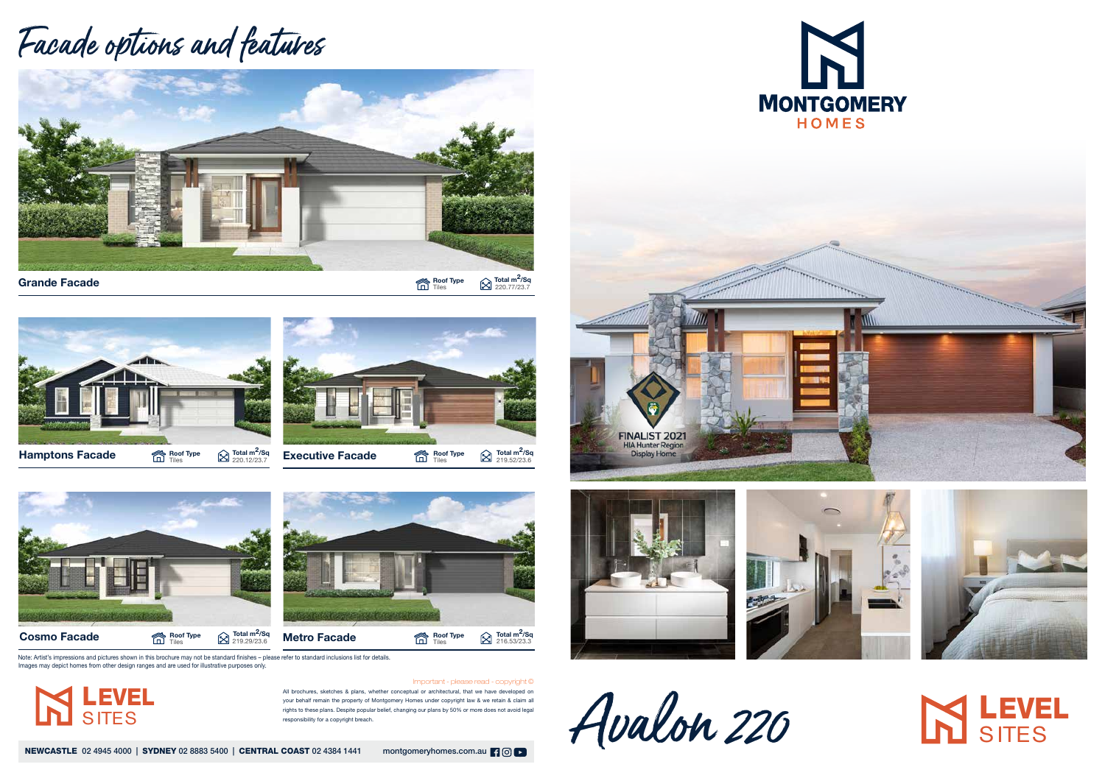

 $\bigotimes$  Total m<sup>2</sup>/Sq<br>220.77/23.7

All brochures, sketches & plans, whether conceptual or architectural, that we have developed on your behalf remain the property of Montgomery Homes under copyright law & we retain & claim all rights to these plans. Despite popular belief, changing our plans by 50% or more does not avoid legal responsibility for a copyright breach.

NEWCASTLE 02 4945 4000 | SYDNEY 02 8883 5400 | CENTRAL COAST 02 4384 1441 montgomeryhomes.com.au | 9 0 | 0







Important - please read - copyright ©

## Facade options and features









Note: Artist's impressions and pictures shown in this brochure may not be standard finishes – please refer to standard inclusions list for details. Images may depict homes from other design ranges and are used for illustrative purposes only.







## **IN LEVEL**

LEVEL

**SITES**